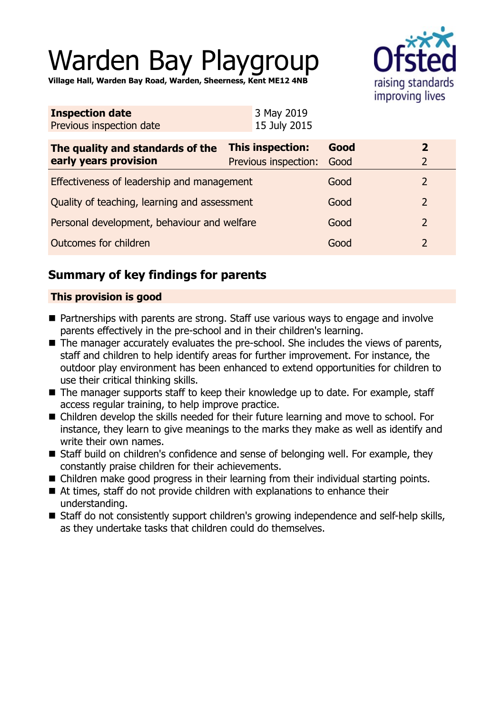# Warden Bay Playgroup

**Village Hall, Warden Bay Road, Warden, Sheerness, Kent ME12 4NB**



| <b>Inspection date</b>   | 3 May 2019   |
|--------------------------|--------------|
| Previous inspection date | 15 July 2015 |

| The quality and standards of the<br>early years provision | <b>This inspection:</b><br>Previous inspection: | Good<br>Good | $\mathbf{z}$  |
|-----------------------------------------------------------|-------------------------------------------------|--------------|---------------|
| Effectiveness of leadership and management                |                                                 | Good         |               |
| Quality of teaching, learning and assessment              |                                                 | Good         | $\mathcal{P}$ |
| Personal development, behaviour and welfare               |                                                 | Good         | $\mathcal{P}$ |
| Outcomes for children                                     |                                                 | Good         |               |

# **Summary of key findings for parents**

## **This provision is good**

- $\blacksquare$  Partnerships with parents are strong. Staff use various ways to engage and involve parents effectively in the pre-school and in their children's learning.
- $\blacksquare$  The manager accurately evaluates the pre-school. She includes the views of parents, staff and children to help identify areas for further improvement. For instance, the outdoor play environment has been enhanced to extend opportunities for children to use their critical thinking skills.
- $\blacksquare$  The manager supports staff to keep their knowledge up to date. For example, staff access regular training, to help improve practice.
- Children develop the skills needed for their future learning and move to school. For instance, they learn to give meanings to the marks they make as well as identify and write their own names.
- $\blacksquare$  Staff build on children's confidence and sense of belonging well. For example, they constantly praise children for their achievements.
- $\blacksquare$  Children make good progress in their learning from their individual starting points.
- At times, staff do not provide children with explanations to enhance their understanding.
- Staff do not consistently support children's growing independence and self-help skills, as they undertake tasks that children could do themselves.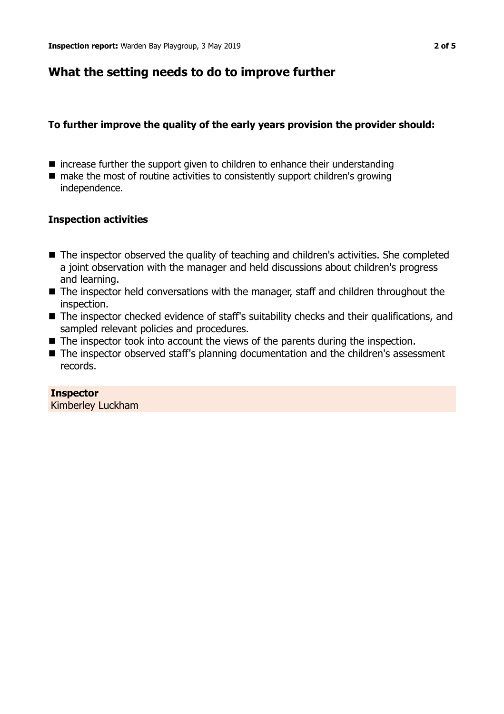# **What the setting needs to do to improve further**

## **To further improve the quality of the early years provision the provider should:**

- $\blacksquare$  increase further the support given to children to enhance their understanding
- $\blacksquare$  make the most of routine activities to consistently support children's growing independence.

## **Inspection activities**

- The inspector observed the quality of teaching and children's activities. She completed a joint observation with the manager and held discussions about children's progress and learning.
- The inspector held conversations with the manager, staff and children throughout the inspection.
- The inspector checked evidence of staff's suitability checks and their qualifications, and sampled relevant policies and procedures.
- $\blacksquare$  The inspector took into account the views of the parents during the inspection.
- The inspector observed staff's planning documentation and the children's assessment records.

## **Inspector**

Kimberley Luckham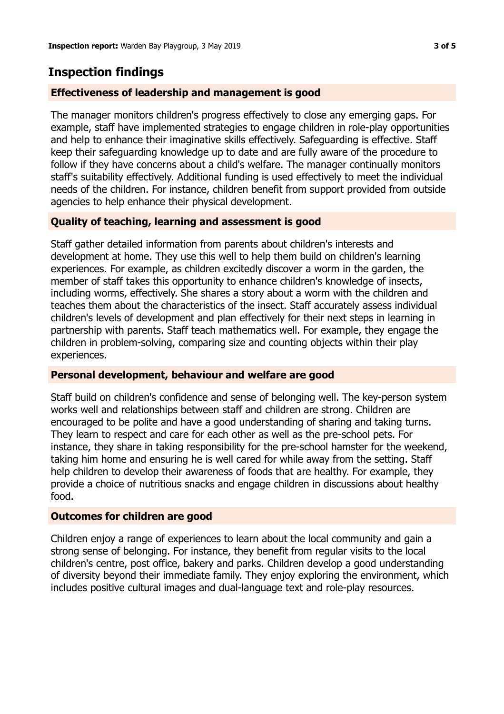# **Inspection findings**

### **Effectiveness of leadership and management is good**

The manager monitors children's progress effectively to close any emerging gaps. For example, staff have implemented strategies to engage children in role-play opportunities and help to enhance their imaginative skills effectively. Safeguarding is effective. Staff keep their safeguarding knowledge up to date and are fully aware of the procedure to follow if they have concerns about a child's welfare. The manager continually monitors staff's suitability effectively. Additional funding is used effectively to meet the individual needs of the children. For instance, children benefit from support provided from outside agencies to help enhance their physical development.

### **Quality of teaching, learning and assessment is good**

Staff gather detailed information from parents about children's interests and development at home. They use this well to help them build on children's learning experiences. For example, as children excitedly discover a worm in the garden, the member of staff takes this opportunity to enhance children's knowledge of insects, including worms, effectively. She shares a story about a worm with the children and teaches them about the characteristics of the insect. Staff accurately assess individual children's levels of development and plan effectively for their next steps in learning in partnership with parents. Staff teach mathematics well. For example, they engage the children in problem-solving, comparing size and counting objects within their play experiences.

#### **Personal development, behaviour and welfare are good**

Staff build on children's confidence and sense of belonging well. The key-person system works well and relationships between staff and children are strong. Children are encouraged to be polite and have a good understanding of sharing and taking turns. They learn to respect and care for each other as well as the pre-school pets. For instance, they share in taking responsibility for the pre-school hamster for the weekend, taking him home and ensuring he is well cared for while away from the setting. Staff help children to develop their awareness of foods that are healthy. For example, they provide a choice of nutritious snacks and engage children in discussions about healthy food.

#### **Outcomes for children are good**

Children enjoy a range of experiences to learn about the local community and gain a strong sense of belonging. For instance, they benefit from regular visits to the local children's centre, post office, bakery and parks. Children develop a good understanding of diversity beyond their immediate family. They enjoy exploring the environment, which includes positive cultural images and dual-language text and role-play resources.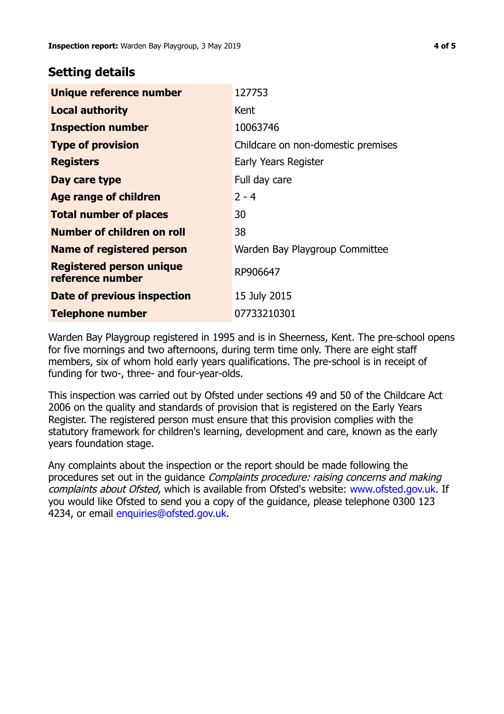# **Setting details**

| Unique reference number                             | 127753                             |
|-----------------------------------------------------|------------------------------------|
| <b>Local authority</b>                              | Kent                               |
| <b>Inspection number</b>                            | 10063746                           |
| <b>Type of provision</b>                            | Childcare on non-domestic premises |
| <b>Registers</b>                                    | Early Years Register               |
| Day care type                                       | Full day care                      |
| Age range of children                               | $2 - 4$                            |
| <b>Total number of places</b>                       | 30                                 |
| Number of children on roll                          | 38                                 |
| Name of registered person                           | Warden Bay Playgroup Committee     |
| <b>Registered person unique</b><br>reference number | RP906647                           |
| Date of previous inspection                         | 15 July 2015                       |
| <b>Telephone number</b>                             | 07733210301                        |

Warden Bay Playgroup registered in 1995 and is in Sheerness, Kent. The pre-school opens for five mornings and two afternoons, during term time only. There are eight staff members, six of whom hold early years qualifications. The pre-school is in receipt of funding for two-, three- and four-year-olds.

This inspection was carried out by Ofsted under sections 49 and 50 of the Childcare Act 2006 on the quality and standards of provision that is registered on the Early Years Register. The registered person must ensure that this provision complies with the statutory framework for children's learning, development and care, known as the early years foundation stage.

Any complaints about the inspection or the report should be made following the procedures set out in the guidance Complaints procedure: raising concerns and making complaints about Ofsted, which is available from Ofsted's website: www.ofsted.gov.uk. If you would like Ofsted to send you a copy of the guidance, please telephone 0300 123 4234, or email [enquiries@ofsted.gov.uk.](mailto:enquiries@ofsted.gov.uk)